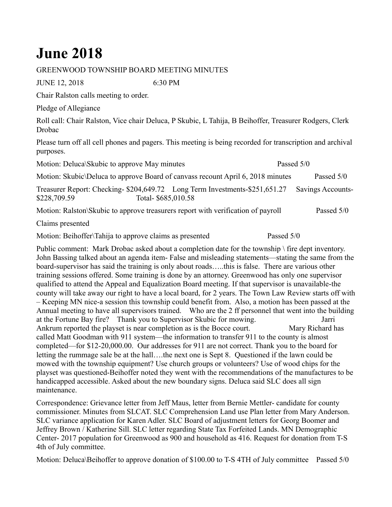## **June 2018**

## GREENWOOD TOWNSHIP BOARD MEETING MINUTES

JUNE 12, 2018 6:30 PM

Chair Ralston calls meeting to order.

Pledge of Allegiance

Roll call: Chair Ralston, Vice chair Deluca, P Skubic, L Tahija, B Beihoffer, Treasurer Rodgers, Clerk Drobac

Please turn off all cell phones and pagers. This meeting is being recorded for transcription and archival purposes.

Motion: Deluca\Skubic to approve May minutes Passed 5/0 Motion: Skubic\Deluca to approve Board of canvass recount April 6, 2018 minutes Passed 5/0 Treasurer Report: Checking- \$204,649.72 Long Term Investments-\$251,651.27 Savings Accounts- \$228,709.59 Total- \$685,010.58

Motion: Ralston\Skubic to approve treasurers report with verification of payroll Passed 5/0

Claims presented

Motion: Beihoffer\Tahija to approve claims as presented Passed 5/0

Public comment: Mark Drobac asked about a completion date for the township \ fire dept inventory. John Bassing talked about an agenda item- False and misleading statements—stating the same from the board-supervisor has said the training is only about roads…..this is false. There are various other training sessions offered. Some training is done by an attorney. Greenwood has only one supervisor qualified to attend the Appeal and Equalization Board meeting. If that supervisor is unavailable-the county will take away our right to have a local board, for 2 years. The Town Law Review starts off with – Keeping MN nice-a session this township could benefit from. Also, a motion has been passed at the Annual meeting to have all supervisors trained. Who are the 2 ff personnel that went into the building at the Fortune Bay fire? Thank you to Supervisor Skubic for mowing. Jarri Ankrum reported the playset is near completion as is the Bocce court. Mary Richard has called Matt Goodman with 911 system—the information to transfer 911 to the county is almost completed—for \$12-20,000.00. Our addresses for 911 are not correct. Thank you to the board for letting the rummage sale be at the hall….the next one is Sept 8. Questioned if the lawn could be mowed with the township equipment? Use church groups or volunteers? Use of wood chips for the playset was questioned-Beihoffer noted they went with the recommendations of the manufactures to be handicapped accessible. Asked about the new boundary signs. Deluca said SLC does all sign maintenance.

Correspondence: Grievance letter from Jeff Maus, letter from Bernie Mettler- candidate for county commissioner. Minutes from SLCAT. SLC Comprehension Land use Plan letter from Mary Anderson. SLC variance application for Karen Adler. SLC Board of adjustment letters for Georg Boomer and Jeffrey Brown / Katherine Sill. SLC letter regarding State Tax Forfeited Lands. MN Demographic Center- 2017 population for Greenwood as 900 and household as 416. Request for donation from T-S 4th of July committee.

Motion: Deluca\Beihoffer to approve donation of \$100.00 to T-S 4TH of July committee Passed 5/0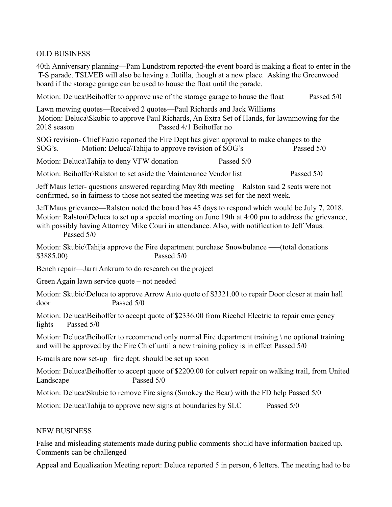## OLD BUSINESS

40th Anniversary planning—Pam Lundstrom reported-the event board is making a float to enter in the T-S parade. TSLVEB will also be having a flotilla, though at a new place. Asking the Greenwood board if the storage garage can be used to house the float until the parade.

Motion: Deluca\Beihoffer to approve use of the storage garage to house the float Passed 5/0

Lawn mowing quotes—Received 2 quotes—Paul Richards and Jack Williams Motion: Deluca\Skubic to approve Paul Richards, An Extra Set of Hands, for lawnmowing for the 2018 season Passed 4/1 Beihoffer no

SOG revision- Chief Fazio reported the Fire Dept has given approval to make changes to the SOG's. Motion: Deluca\Tahija to approve revision of SOG's Passed 5/0

Motion: Deluca\Tahija to deny VFW donation Passed 5/0

Motion: Beihoffer\Ralston to set aside the Maintenance Vendor list Passed  $5/0$ 

Jeff Maus letter- questions answered regarding May 8th meeting—Ralston said 2 seats were not confirmed, so in fairness to those not seated the meeting was set for the next week.

Jeff Maus grievance—Ralston noted the board has 45 days to respond which would be July 7, 2018. Motion: Ralston\Deluca to set up a special meeting on June 19th at 4:00 pm to address the grievance, with possibly having Attorney Mike Couri in attendance. Also, with notification to Jeff Maus. Passed 5/0

Motion: Skubic\Tahija approve the Fire department purchase Snowbulance —–(total donations \$3885.00) Passed 5/0

Bench repair—Jarri Ankrum to do research on the project

Green Again lawn service quote – not needed

Motion: Skubic\Deluca to approve Arrow Auto quote of \$3321.00 to repair Door closer at main hall door Passed 5/0

Motion: Deluca\Beihoffer to accept quote of \$2336.00 from Riechel Electric to repair emergency lights Passed 5/0

Motion: Deluca\Beihoffer to recommend only normal Fire department training \ no optional training and will be approved by the Fire Chief until a new training policy is in effect Passed 5/0

E-mails are now set-up –fire dept. should be set up soon

Motion: Deluca\Beihoffer to accept quote of \$2200.00 for culvert repair on walking trail, from United Landscape Passed 5/0

Motion: Deluca\Skubic to remove Fire signs (Smokey the Bear) with the FD help Passed 5/0

Motion: Deluca\Tahija to approve new signs at boundaries by SLC Passed 5/0

## NEW BUSINESS

False and misleading statements made during public comments should have information backed up. Comments can be challenged

Appeal and Equalization Meeting report: Deluca reported 5 in person, 6 letters. The meeting had to be